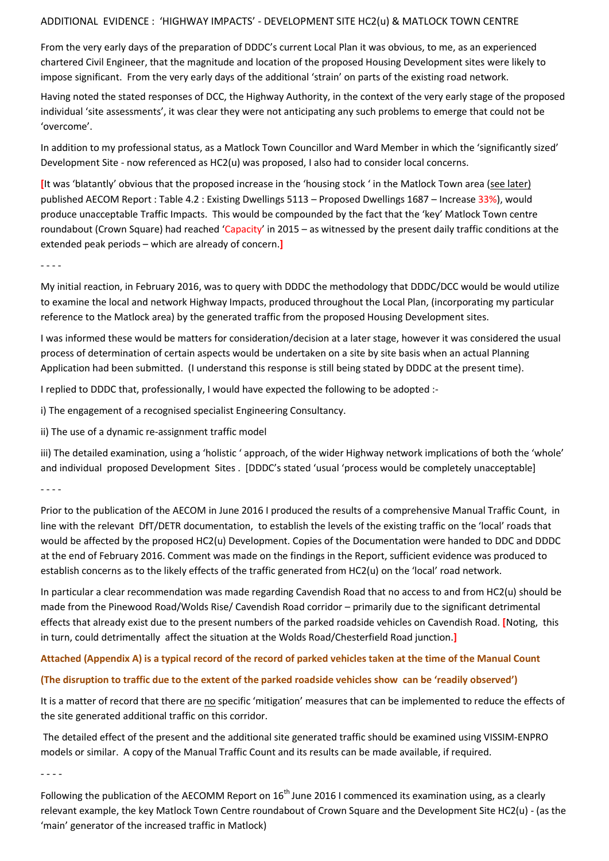## ADDITIONAL EVIDENCE : 'HIGHWAY IMPACTS' - DEVELOPMENT SITE HC2(u) & MATLOCK TOWN CENTRE

From the very early days of the preparation of DDDC's current Local Plan it was obvious, to me, as an experienced chartered Civil Engineer, that the magnitude and location of the proposed Housing Development sites were likely to impose significant. From the very early days of the additional 'strain' on parts of the existing road network.

Having noted the stated responses of DCC, the Highway Authority, in the context of the very early stage of the proposed individual 'site assessments', it was clear they were not anticipating any such problems to emerge that could not be 'overcome'.

In addition to my professional status, as a Matlock Town Councillor and Ward Member in which the 'significantly sized' Development Site - now referenced as HC2(u) was proposed, I also had to consider local concerns.

**[**It was 'blatantly' obvious that the proposed increase in the 'housing stock ' in the Matlock Town area (see later) published AECOM Report : Table 4.2 : Existing Dwellings 5113 – Proposed Dwellings 1687 – Increase 33%), would produce unacceptable Traffic Impacts. This would be compounded by the fact that the 'key' Matlock Town centre roundabout (Crown Square) had reached 'Capacity' in 2015 – as witnessed by the present daily traffic conditions at the extended peak periods – which are already of concern.**]**

- - - -

My initial reaction, in February 2016, was to query with DDDC the methodology that DDDC/DCC would be would utilize to examine the local and network Highway Impacts, produced throughout the Local Plan, (incorporating my particular reference to the Matlock area) by the generated traffic from the proposed Housing Development sites.

I was informed these would be matters for consideration/decision at a later stage, however it was considered the usual process of determination of certain aspects would be undertaken on a site by site basis when an actual Planning Application had been submitted. (I understand this response is still being stated by DDDC at the present time).

I replied to DDDC that, professionally, I would have expected the following to be adopted :-

i) The engagement of a recognised specialist Engineering Consultancy.

ii) The use of a dynamic re-assignment traffic model

iii) The detailed examination, using a 'holistic ' approach, of the wider Highway network implications of both the 'whole' and individual proposed Development Sites . [DDDC's stated 'usual 'process would be completely unacceptable]

- - - -

Prior to the publication of the AECOM in June 2016 I produced the results of a comprehensive Manual Traffic Count, in line with the relevant DfT/DETR documentation, to establish the levels of the existing traffic on the 'local' roads that would be affected by the proposed HC2(u) Development. Copies of the Documentation were handed to DDC and DDDC at the end of February 2016. Comment was made on the findings in the Report, sufficient evidence was produced to establish concerns as to the likely effects of the traffic generated from HC2(u) on the 'local' road network.

In particular a clear recommendation was made regarding Cavendish Road that no access to and from HC2(u) should be made from the Pinewood Road/Wolds Rise/ Cavendish Road corridor – primarily due to the significant detrimental effects that already exist due to the present numbers of the parked roadside vehicles on Cavendish Road. **[**Noting, this in turn, could detrimentally affect the situation at the Wolds Road/Chesterfield Road junction.**]**

# **Attached (Appendix A) is a typical record of the record of parked vehicles taken at the time of the Manual Count**

# **(The disruption to traffic due to the extent of the parked roadside vehicles show can be 'readily observed')**

It is a matter of record that there are no specific 'mitigation' measures that can be implemented to reduce the effects of the site generated additional traffic on this corridor.

The detailed effect of the present and the additional site generated traffic should be examined using VISSIM-ENPRO models or similar. A copy of the Manual Traffic Count and its results can be made available, if required.

- - - -

Following the publication of the AECOMM Report on  $16<sup>th</sup>$  June 2016 I commenced its examination using, as a clearly relevant example, the key Matlock Town Centre roundabout of Crown Square and the Development Site HC2(u) - (as the 'main' generator of the increased traffic in Matlock)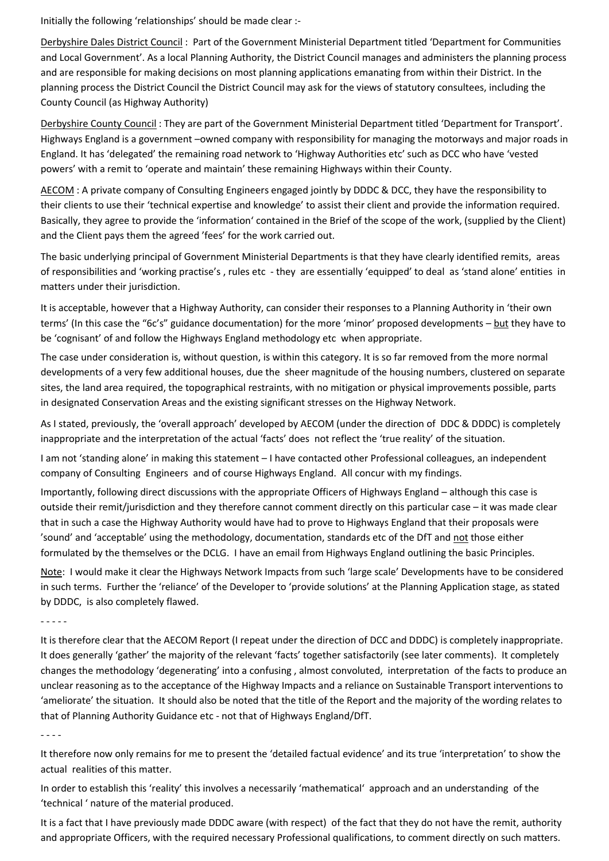Initially the following 'relationships' should be made clear :-

Derbyshire Dales District Council : Part of the Government Ministerial Department titled 'Department for Communities and Local Government'. As a local Planning Authority, the District Council manages and administers the planning process and are responsible for making decisions on most planning applications emanating from within their District. In the planning process the District Council the District Council may ask for the views of statutory consultees, including the County Council (as Highway Authority)

Derbyshire County Council : They are part of the Government Ministerial Department titled 'Department for Transport'. Highways England is a government –owned company with responsibility for managing the motorways and major roads in England. It has 'delegated' the remaining road network to 'Highway Authorities etc' such as DCC who have 'vested powers' with a remit to 'operate and maintain' these remaining Highways within their County.

AECOM : A private company of Consulting Engineers engaged jointly by DDDC & DCC, they have the responsibility to their clients to use their 'technical expertise and knowledge' to assist their client and provide the information required. Basically, they agree to provide the 'information' contained in the Brief of the scope of the work, (supplied by the Client) and the Client pays them the agreed 'fees' for the work carried out.

The basic underlying principal of Government Ministerial Departments is that they have clearly identified remits, areas of responsibilities and 'working practise's , rules etc - they are essentially 'equipped' to deal as 'stand alone' entities in matters under their jurisdiction.

It is acceptable, however that a Highway Authority, can consider their responses to a Planning Authority in 'their own terms' (In this case the "6c's" guidance documentation) for the more 'minor' proposed developments – but they have to be 'cognisant' of and follow the Highways England methodology etc when appropriate.

The case under consideration is, without question, is within this category. It is so far removed from the more normal developments of a very few additional houses, due the sheer magnitude of the housing numbers, clustered on separate sites, the land area required, the topographical restraints, with no mitigation or physical improvements possible, parts in designated Conservation Areas and the existing significant stresses on the Highway Network.

As I stated, previously, the 'overall approach' developed by AECOM (under the direction of DDC & DDDC) is completely inappropriate and the interpretation of the actual 'facts' does not reflect the 'true reality' of the situation.

I am not 'standing alone' in making this statement – I have contacted other Professional colleagues, an independent company of Consulting Engineers and of course Highways England. All concur with my findings.

Importantly, following direct discussions with the appropriate Officers of Highways England – although this case is outside their remit/jurisdiction and they therefore cannot comment directly on this particular case – it was made clear that in such a case the Highway Authority would have had to prove to Highways England that their proposals were 'sound' and 'acceptable' using the methodology, documentation, standards etc of the DfT and not those either formulated by the themselves or the DCLG. I have an email from Highways England outlining the basic Principles.

Note: I would make it clear the Highways Network Impacts from such 'large scale' Developments have to be considered in such terms. Further the 'reliance' of the Developer to 'provide solutions' at the Planning Application stage, as stated by DDDC, is also completely flawed.

- - - - -

It is therefore clear that the AECOM Report (I repeat under the direction of DCC and DDDC) is completely inappropriate. It does generally 'gather' the majority of the relevant 'facts' together satisfactorily (see later comments). It completely changes the methodology 'degenerating' into a confusing , almost convoluted, interpretation of the facts to produce an unclear reasoning as to the acceptance of the Highway Impacts and a reliance on Sustainable Transport interventions to 'ameliorate' the situation. It should also be noted that the title of the Report and the majority of the wording relates to that of Planning Authority Guidance etc - not that of Highways England/DfT.

- - - -

It therefore now only remains for me to present the 'detailed factual evidence' and its true 'interpretation' to show the actual realities of this matter.

In order to establish this 'reality' this involves a necessarily 'mathematical' approach and an understanding of the 'technical ' nature of the material produced.

It is a fact that I have previously made DDDC aware (with respect) of the fact that they do not have the remit, authority and appropriate Officers, with the required necessary Professional qualifications, to comment directly on such matters.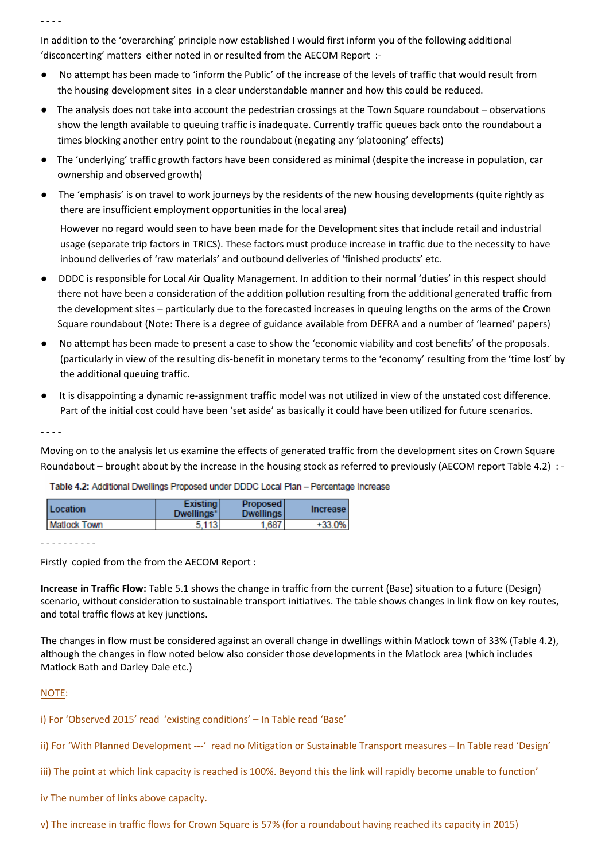In addition to the 'overarching' principle now established I would first inform you of the following additional 'disconcerting' matters either noted in or resulted from the AECOM Report :-

- No attempt has been made to 'inform the Public' of the increase of the levels of traffic that would result from the housing development sites in a clear understandable manner and how this could be reduced.
- The analysis does not take into account the pedestrian crossings at the Town Square roundabout observations show the length available to queuing traffic is inadequate. Currently traffic queues back onto the roundabout a times blocking another entry point to the roundabout (negating any 'platooning' effects)
- The 'underlying' traffic growth factors have been considered as minimal (despite the increase in population, car ownership and observed growth)
- The 'emphasis' is on travel to work journeys by the residents of the new housing developments (quite rightly as there are insufficient employment opportunities in the local area)

 However no regard would seen to have been made for the Development sites that include retail and industrial usage (separate trip factors in TRICS). These factors must produce increase in traffic due to the necessity to have inbound deliveries of 'raw materials' and outbound deliveries of 'finished products' etc.

- DDDC is responsible for Local Air Quality Management. In addition to their normal 'duties' in this respect should there not have been a consideration of the addition pollution resulting from the additional generated traffic from the development sites – particularly due to the forecasted increases in queuing lengths on the arms of the Crown Square roundabout (Note: There is a degree of guidance available from DEFRA and a number of 'learned' papers)
- No attempt has been made to present a case to show the 'economic viability and cost benefits' of the proposals. (particularly in view of the resulting dis-benefit in monetary terms to the 'economy' resulting from the 'time lost' by the additional queuing traffic.
- It is disappointing a dynamic re-assignment traffic model was not utilized in view of the unstated cost difference. Part of the initial cost could have been 'set aside' as basically it could have been utilized for future scenarios.

- - - -

Moving on to the analysis let us examine the effects of generated traffic from the development sites on Crown Square Roundabout – brought about by the increase in the housing stock as referred to previously (AECOM report Table 4.2) : -

| Location            | <b>Existing</b><br>Dwellings* | <b>Proposed</b><br><b>Dwellings</b> | <b>Increase</b> |
|---------------------|-------------------------------|-------------------------------------|-----------------|
| <b>Matlock Town</b> | 113                           | 1.687                               | +33.0%          |

Table 4.2: Additional Dwellings Proposed under DDDC Local Plan - Percentage Increase

- - - - - - - - - -

Firstly copied from the from the AECOM Report :

**Increase in Traffic Flow:** Table 5.1 shows the change in traffic from the current (Base) situation to a future (Design) scenario, without consideration to sustainable transport initiatives. The table shows changes in link flow on key routes, and total traffic flows at key junctions.

The changes in flow must be considered against an overall change in dwellings within Matlock town of 33% (Table 4.2), although the changes in flow noted below also consider those developments in the Matlock area (which includes Matlock Bath and Darley Dale etc.)

### NOTE:

i) For 'Observed 2015' read 'existing conditions' – In Table read 'Base'

- ii) For 'With Planned Development ---' read no Mitigation or Sustainable Transport measures In Table read 'Design'
- iii) The point at which link capacity is reached is 100%. Beyond this the link will rapidly become unable to function'
- iv The number of links above capacity.

v) The increase in traffic flows for Crown Square is 57% (for a roundabout having reached its capacity in 2015)

- - - -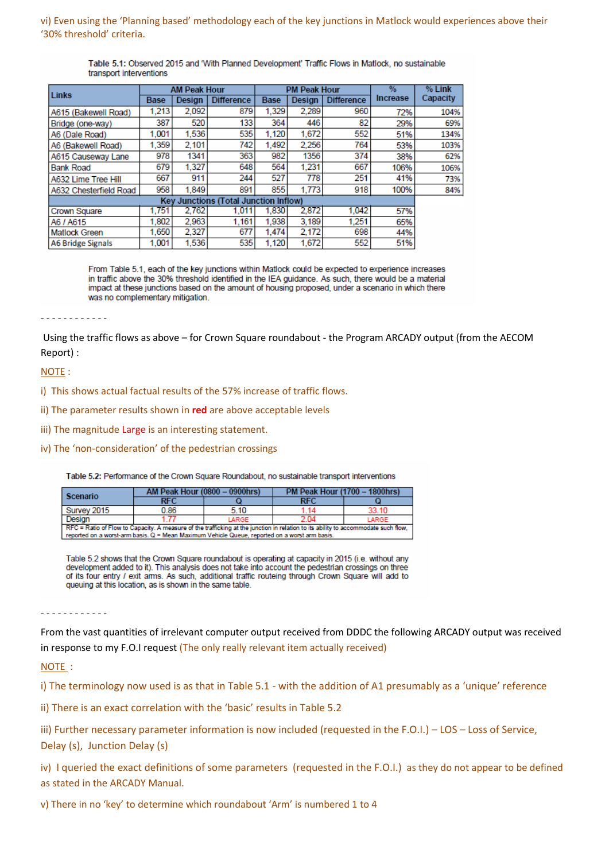### vi) Even using the 'Planning based' methodology each of the key junctions in Matlock would experiences above their '30% threshold' criteria.

#### Table 5.1: Observed 2015 and 'With Planned Development' Traffic Flows in Matlock, no sustainable transport interventions

| Links                                        | <b>AM Peak Hour</b> |        |                   |             | <b>PM Peak Hour</b> |                   | $\frac{9}{6}$   | % Link   |
|----------------------------------------------|---------------------|--------|-------------------|-------------|---------------------|-------------------|-----------------|----------|
|                                              | <b>Base</b>         | Design | <b>Difference</b> | <b>Base</b> | Design              | <b>Difference</b> | <b>Increase</b> | Capacity |
| A615 (Bakewell Road)                         | 1.213               | 2,092  | 879               | 1.329       | 2,289               | 960               | 72%             | 104%     |
| Bridge (one-way)                             | 387                 | 520    | 133               | 364         | 446                 | 82                | 29%             | 69%      |
| A6 (Dale Road)                               | 1.001               | 1.536  | 535               | 1.120       | 1,672               | 552               | 51%             | 134%     |
| A6 (Bakewell Road)                           | 1.359               | 2.101  | 742               | 1.492       | 2.256               | 764               | 53%             | 103%     |
| A615 Causeway Lane                           | 978                 | 1341   | 363               | 982         | 1356                | 374               | 38%             | 62%      |
| <b>Bank Road</b>                             | 679                 | 1.327  | 648               | 564         | 1.231               | 667               | 106%            | 106%     |
| A632 Lime Tree Hill                          | 667                 | 911    | 244               | 527         | 778                 | 251               | 41%             | 73%      |
| A632 Chesterfield Road                       | 958                 | 1,849  | 891               | 855         | 1,773               | 918               | 100%            | 84%      |
| <b>Key Junctions (Total Junction Inflow)</b> |                     |        |                   |             |                     |                   |                 |          |
| Crown Square                                 | 1.751               | 2.762  | 1.011             | 1.830       | 2.872               | 1.042             | 57%             |          |
| A6 / A615                                    | 1.802               | 2,963  | 1,161             | 1.938       | 3.189               | 1.251             | 65%             |          |
| <b>Matlock Green</b>                         | 1.650               | 2,327  | 677               | 1.474       | 2.172               | 698               | 44%             |          |
| <b>A6 Bridge Signals</b>                     | 1.001               | 1.536  | 535               | 1.120       | 1.672               | 552               | 51%             |          |

From Table 5.1, each of the key junctions within Matlock could be expected to experience increases in traffic above the 30% threshold identified in the IEA quidance. As such, there would be a material impact at these junctions based on the amount of housing proposed, under a scenario in which there was no complementary mitigation.

## - - - - - - - - - - - -

Using the traffic flows as above – for Crown Square roundabout - the Program ARCADY output (from the AECOM Report) :

### NOTE :

- i) This shows actual factual results of the 57% increase of traffic flows.
- ii) The parameter results shown in **red** are above acceptable levels
- iii) The magnitude Large is an interesting statement.
- iv) The 'non-consideration' of the pedestrian crossings

Table 5.2: Performance of the Crown Square Roundabout, no sustainable transport interventions

| Scenario                                                                                                                           | <b>AM Peak Hour (0800 - 0900hrs)</b> |       | PM Peak Hour (1700 - 1800hrs) |       |  |  |  |
|------------------------------------------------------------------------------------------------------------------------------------|--------------------------------------|-------|-------------------------------|-------|--|--|--|
|                                                                                                                                    | RFC                                  |       | <b>RFC</b>                    |       |  |  |  |
| Survey 2015                                                                                                                        | 0.86                                 | 5.10  | 1.14                          | 33.10 |  |  |  |
| Design                                                                                                                             |                                      | LARGE |                               | LARGE |  |  |  |
| RFC = Ratio of Flow to Capacity. A measure of the trafficking at the junction in relation to its ability to accommodate such flow, |                                      |       |                               |       |  |  |  |
| reported on a worst-arm basis. Q = Mean Maximum Vehicle Queue, reported on a worst arm basis.                                      |                                      |       |                               |       |  |  |  |

Table 5.2 shows that the Crown Square roundabout is operating at capacity in 2015 (i.e. without any development added to it). This analysis does not take into account the pedestrian crossings on three of its four entry / exit arms. As such, additional traffic routeing through Crown Square will add to queuing at this location, as is shown in the same table.

- - - - - - - - - - - -

From the vast quantities of irrelevant computer output received from DDDC the following ARCADY output was received in response to my F.O.I request (The only really relevant item actually received)

### NOTE :

i) The terminology now used is as that in Table 5.1 - with the addition of A1 presumably as a 'unique' reference

ii) There is an exact correlation with the 'basic' results in Table 5.2

iii) Further necessary parameter information is now included (requested in the F.O.I.) – LOS – Loss of Service, Delay (s), Junction Delay (s)

iv) I queried the exact definitions of some parameters (requested in the F.O.I.) as they do not appear to be defined as stated in the ARCADY Manual.

v) There in no 'key' to determine which roundabout 'Arm' is numbered 1 to 4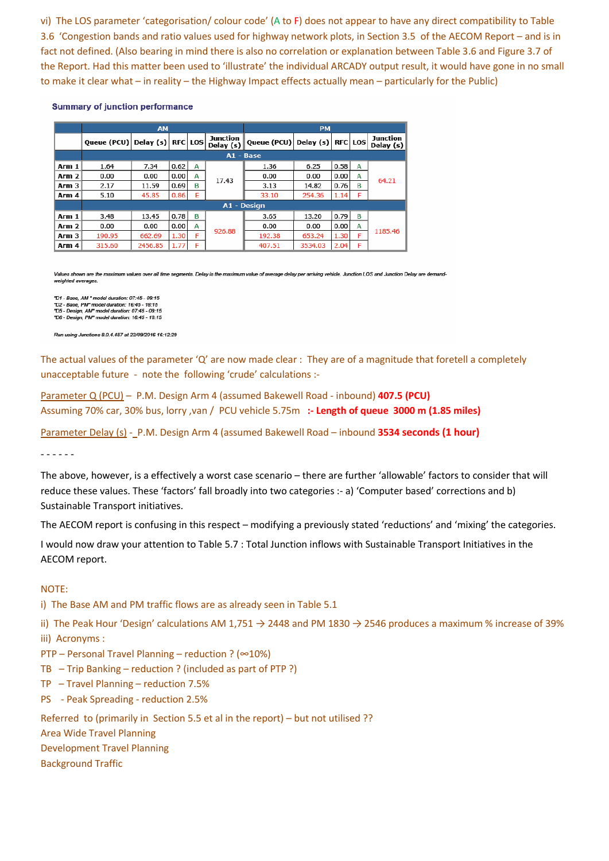vi) The LOS parameter 'categorisation/ colour code' (A to F) does not appear to have any direct compatibility to Table 3.6 'Congestion bands and ratio values used for highway network plots, in Section 3.5 of the AECOM Report – and is in fact not defined. (Also bearing in mind there is also no correlation or explanation between Table 3.6 and Figure 3.7 of the Report. Had this matter been used to 'illustrate' the individual ARCADY output result, it would have gone in no small to make it clear what – in reality – the Highway Impact effects actually mean – particularly for the Public)

**Summary of junction performance** 

|       | <b>AM</b>               |         |                |   |                         | <b>PM</b>          |           |                |   |                       |
|-------|-------------------------|---------|----------------|---|-------------------------|--------------------|-----------|----------------|---|-----------------------|
|       | Oueue (PCU)   Delay (s) |         | <b>RFC LOS</b> |   | Junction<br>Delay $(s)$ | <b>Queue (PCU)</b> | Delay (s) | <b>RFC LOS</b> |   | Junction<br>Delay (s) |
|       | A1 - Base               |         |                |   |                         |                    |           |                |   |                       |
| Arm 1 | 1.64                    | 7.34    | 0.62           | A |                         | 1.36               | 6.25      | 0.58           | A |                       |
| Arm 2 | 0.00                    | 0.00    | 0.00           | А | 17.43                   | 0.00               | 0.00      | 0.00           | A | 64.21                 |
| Arm 3 | 2.17                    | 11.59   | 0.69           | B |                         | 3.13               | 14.82     | 0.76           | B |                       |
| Arm 4 | 5.10                    | 45.85   | 0.86           | E |                         | 33.10              | 254.36    | 1.14           | F |                       |
|       | A1 - Design             |         |                |   |                         |                    |           |                |   |                       |
| Arm 1 | 3.48                    | 13.45   | 0.78           | в |                         | 3.65               | 13.20     | 0.79           | в |                       |
| Arm 2 | 0.00                    | 0.00    | 0.00           | А | 926.88                  | 0.00               | 0.00      | 0.00           | A |                       |
| Arm 3 | 190.95                  | 662.69  | 1.30           | F |                         | 192.38             | 653.24    | 1.30           | F | 1185.46               |
| Arm 4 | 315.60                  | 2456.85 | 1.77           | F |                         | 407.51             | 3534.03   | 2.04           | F |                       |

Values shown are the maximum values over all time segments. Delay is the maximum value of average delay per arriving vehicle. Junction LOS and Junction Delay are demandweighted averages

"D1 - Base, AM " model duration: 07:45 - 09:15<br>"D2 - Base, PM" model duration: 16:45 - 18:15<br>"D5 - Design, AM" model duration: 07:45 - 09:15<br>"D6 - Design, PM" model duration: 16:45 - 18:15

Run using Junctions 8.0.4.487 at 22/09/2016 16:12:29

The actual values of the parameter 'Q' are now made clear : They are of a magnitude that foretell a completely unacceptable future - note the following 'crude' calculations :-

Parameter Q (PCU) – P.M. Design Arm 4 (assumed Bakewell Road - inbound) **407.5 (PCU)** Assuming 70% car, 30% bus, lorry ,van / PCU vehicle 5.75m **:- Length of queue 3000 m (1.85 miles)**

Parameter Delay (s) - P.M. Design Arm 4 (assumed Bakewell Road – inbound **3534 seconds (1 hour)**

- - - - - -

The above, however, is a effectively a worst case scenario – there are further 'allowable' factors to consider that will reduce these values. These 'factors' fall broadly into two categories :- a) 'Computer based' corrections and b) Sustainable Transport initiatives.

The AECOM report is confusing in this respect – modifying a previously stated 'reductions' and 'mixing' the categories.

I would now draw your attention to Table 5.7 : Total Junction inflows with Sustainable Transport Initiatives in the AECOM report.

### NOTE:

i) The Base AM and PM traffic flows are as already seen in Table 5.1

ii) The Peak Hour 'Design' calculations AM 1,751  $\rightarrow$  2448 and PM 1830  $\rightarrow$  2546 produces a maximum % increase of 39% iii) Acronyms :

- PTP Personal Travel Planning reduction ? (∞10%)
- TB Trip Banking reduction ? (included as part of PTP ?)
- TP Travel Planning reduction 7.5%
- PS Peak Spreading reduction 2.5%

Referred to (primarily in Section 5.5 et al in the report) – but not utilised ??

Area Wide Travel Planning

Development Travel Planning

Background Traffic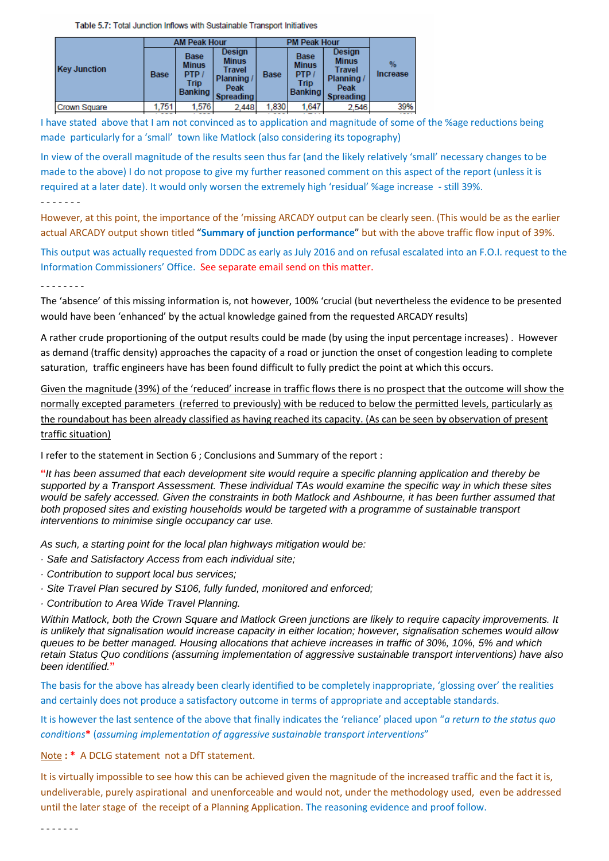Table 5.7: Total Junction Inflows with Sustainable Transport Initiatives

|                     |             | <b>AM Peak Hour</b>                                                 |                                                                            | <b>PM Peak Hour</b> |                                                               |                                                                                  |                         |
|---------------------|-------------|---------------------------------------------------------------------|----------------------------------------------------------------------------|---------------------|---------------------------------------------------------------|----------------------------------------------------------------------------------|-------------------------|
| <b>Key Junction</b> | <b>Base</b> | <b>Base</b><br><b>Minus</b><br>PTP<br><b>Trip</b><br><b>Banking</b> | Design<br><b>Minus</b><br>Travel<br>Planning /<br>Peak<br><b>Spreading</b> | <b>Base</b>         | <b>Base</b><br><b>Minus</b><br>PTP/<br>Trip<br><b>Banking</b> | Design<br><b>Minus</b><br><b>Travel</b><br>Planning/<br>Peak<br><b>Spreading</b> | $\%$<br><b>Increase</b> |
| <b>Crown Square</b> | 1.751       | 1.576                                                               | 2.448                                                                      | 1.830               | 1.647                                                         | 2.546                                                                            | 39%                     |

I have stated above that I am not convinced as to application and magnitude of some of the %age reductions being made particularly for a 'small' town like Matlock (also considering its topography)

In view of the overall magnitude of the results seen thus far (and the likely relatively 'small' necessary changes to be made to the above) I do not propose to give my further reasoned comment on this aspect of the report (unless it is required at a later date). It would only worsen the extremely high 'residual' %age increase - still 39%.

#### - - - - - - -

However, at this point, the importance of the 'missing ARCADY output can be clearly seen. (This would be as the earlier actual ARCADY output shown titled "**Summary of junction performance**" but with the above traffic flow input of 39%.

This output was actually requested from DDDC as early as July 2016 and on refusal escalated into an F.O.I. request to the Information Commissioners' Office. See separate email send on this matter.

### - - - - - - - -

The 'absence' of this missing information is, not however, 100% 'crucial (but nevertheless the evidence to be presented would have been 'enhanced' by the actual knowledge gained from the requested ARCADY results)

A rather crude proportioning of the output results could be made (by using the input percentage increases) . However as demand (traffic density) approaches the capacity of a road or junction the onset of congestion leading to complete saturation, traffic engineers have has been found difficult to fully predict the point at which this occurs.

Given the magnitude (39%) of the 'reduced' increase in traffic flows there is no prospect that the outcome will show the normally excepted parameters (referred to previously) with be reduced to below the permitted levels, particularly as the roundabout has been already classified as having reached its capacity. (As can be seen by observation of present traffic situation)

I refer to the statement in Section 6 ; Conclusions and Summary of the report :

**"***It has been assumed that each development site would require a specific planning application and thereby be supported by a Transport Assessment. These individual TAs would examine the specific way in which these sites would be safely accessed. Given the constraints in both Matlock and Ashbourne, it has been further assumed that both proposed sites and existing households would be targeted with a programme of sustainable transport interventions to minimise single occupancy car use.*

*As such, a starting point for the local plan highways mitigation would be:*

- *· Safe and Satisfactory Access from each individual site;*
- *· Contribution to support local bus services;*
- *· Site Travel Plan secured by S106, fully funded, monitored and enforced;*
- *· Contribution to Area Wide Travel Planning.*

*Within Matlock, both the Crown Square and Matlock Green junctions are likely to require capacity improvements. It is unlikely that signalisation would increase capacity in either location; however, signalisation schemes would allow queues to be better managed. Housing allocations that achieve increases in traffic of 30%, 10%, 5% and which retain Status Quo conditions (assuming implementation of aggressive sustainable transport interventions) have also been identified.***"**

The basis for the above has already been clearly identified to be completely inappropriate, 'glossing over' the realities and certainly does not produce a satisfactory outcome in terms of appropriate and acceptable standards.

It is however the last sentence of the above that finally indicates the 'reliance' placed upon "*a return to the status quo conditions***\*** (*assuming implementation of aggressive sustainable transport interventions*"

Note **: \*** A DCLG statement not a DfT statement.

It is virtually impossible to see how this can be achieved given the magnitude of the increased traffic and the fact it is, undeliverable, purely aspirational and unenforceable and would not, under the methodology used, even be addressed until the later stage of the receipt of a Planning Application. The reasoning evidence and proof follow.